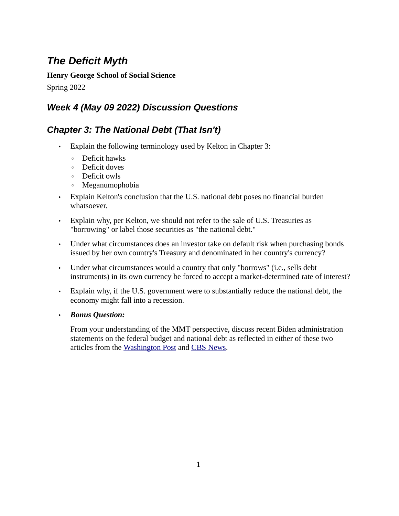## *The Deficit Myth*

**Henry George School of Social Science**

Spring 2022

## *Week 4 (May 09 2022) Discussion Questions*

## *Chapter 3: The National Debt (That Isn't)*

- Explain the following terminology used by Kelton in Chapter 3:
	- Deficit hawks
	- Deficit doves
	- Deficit owls
	- Meganumophobia
- Explain Kelton's conclusion that the U.S. national debt poses no financial burden whatsoever.
- Explain why, per Kelton, we should not refer to the sale of U.S. Treasuries as "borrowing" or label those securities as "the national debt."
- Under what circumstances does an investor take on default risk when purchasing bonds issued by her own country's Treasury and denominated in her country's currency?
- Under what circumstances would a country that only "borrows" (i.e., sells debt instruments) in its own currency be forced to accept a market-determined rate of interest?
- Explain why, if the U.S. government were to substantially reduce the national debt, the economy might fall into a recession.
- *Bonus Question:*

From your understanding of the MMT perspective, discuss recent Biden administration statements on the federal budget and national debt as reflected in either of these two articles from the [Washington Post](https://www.washingtonpost.com/politics/2022/05/04/joe-biden-deficit-deduction/) and [CBS News.](https://www.cbsnews.com/news/biden-deficit-national-debt-reduction/)